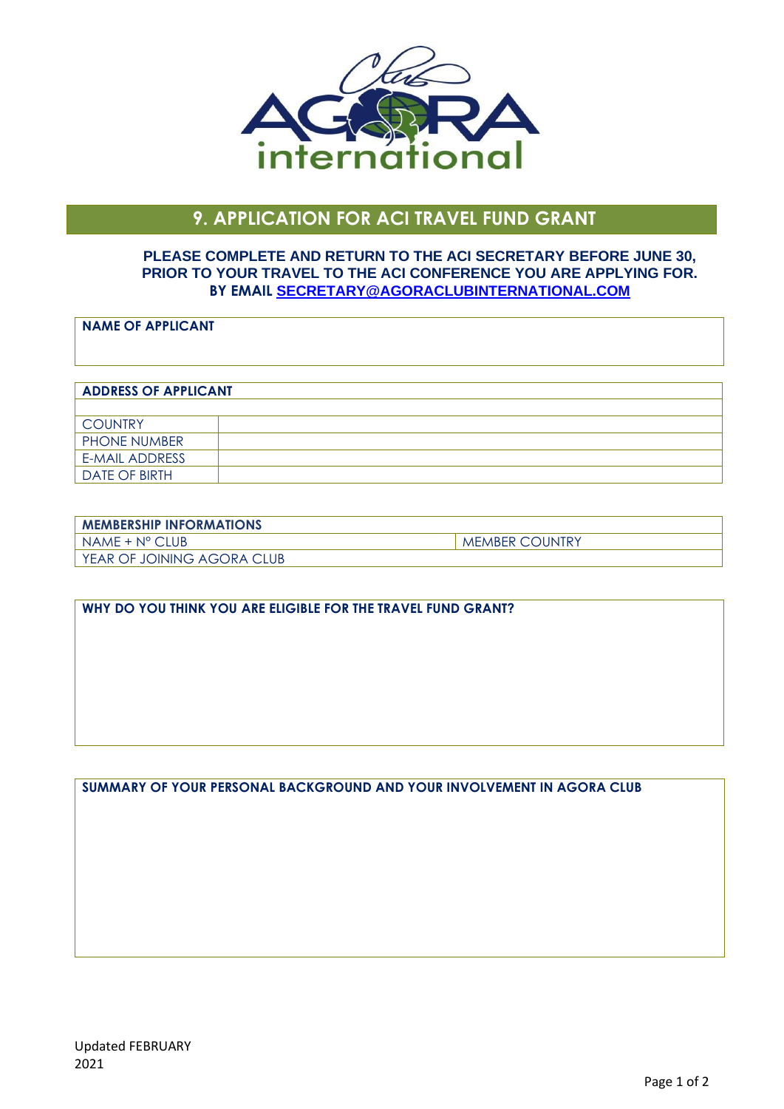

# **9. APPLICATION FOR ACI TRAVEL FUND GRANT**

#### **PLEASE COMPLETE AND RETURN TO THE ACI SECRETARY BEFORE JUNE 30, PRIOR TO YOUR TRAVEL TO THE ACI CONFERENCE YOU ARE APPLYING FOR. BY EMAIL [SECRETARY@AGORACLUBINTERNATIONAL.COM](mailto:secretary@agoraclubinternational.com)**

### **NAME OF APPLICANT**

## **ADDRESS OF APPLICANT COUNTRY** PHONE NUMBER E-MAIL ADDRESS DATE OF BIRTH

| <b>I MEMBERSHIP INFORMATIONS</b> |                       |
|----------------------------------|-----------------------|
| NAME + N° CLUB                   | <b>MEMBER COUNTRY</b> |
| I YEAR OF JOINING AGORA CLUB     |                       |

#### **WHY DO YOU THINK YOU ARE ELIGIBLE FOR THE TRAVEL FUND GRANT?**

**SUMMARY OF YOUR PERSONAL BACKGROUND AND YOUR INVOLVEMENT IN AGORA CLUB**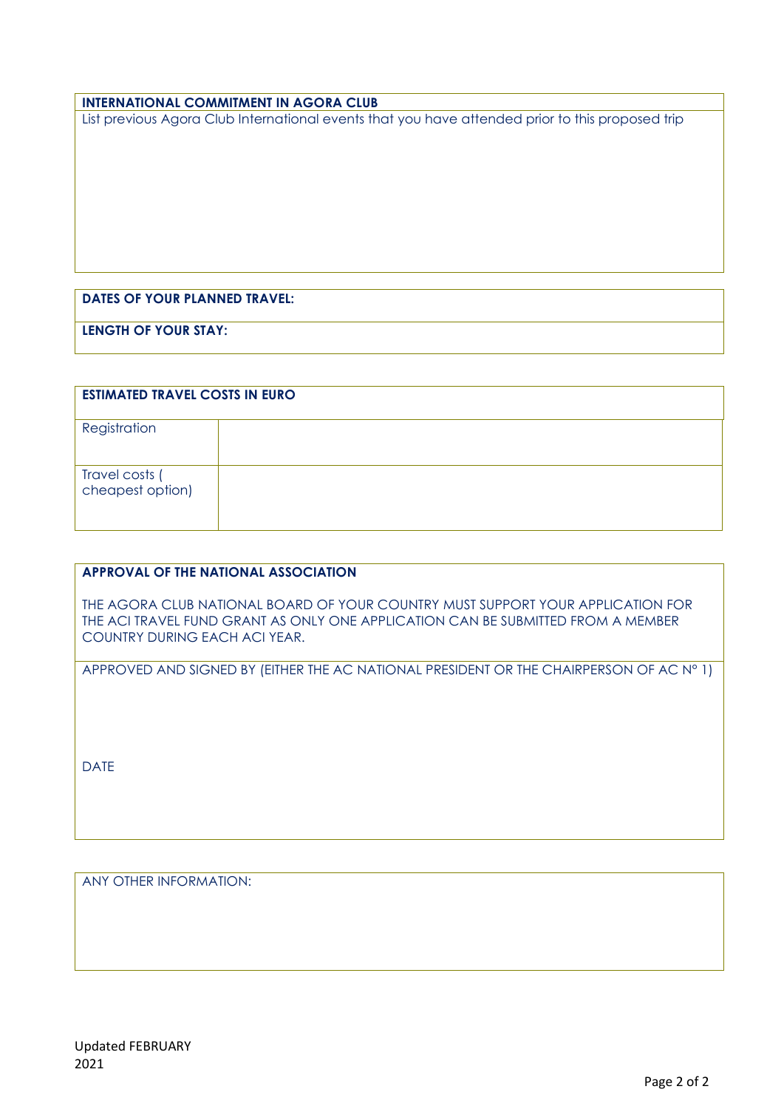#### **INTERNATIONAL COMMITMENT IN AGORA CLUB**

List previous Agora Club International events that you have attended prior to this proposed trip

## **DATES OF YOUR PLANNED TRAVEL:**

**LENGTH OF YOUR STAY:** 

| <b>ESTIMATED TRAVEL COSTS IN EURO</b> |  |
|---------------------------------------|--|
| Registration                          |  |
| Travel costs (<br>cheapest option)    |  |

#### **APPROVAL OF THE NATIONAL ASSOCIATION**

THE AGORA CLUB NATIONAL BOARD OF YOUR COUNTRY MUST SUPPORT YOUR APPLICATION FOR THE ACI TRAVEL FUND GRANT AS ONLY ONE APPLICATION CAN BE SUBMITTED FROM A MEMBER COUNTRY DURING EACH ACI YEAR.

APPROVED AND SIGNED BY (EITHER THE AC NATIONAL PRESIDENT OR THE CHAIRPERSON OF AC N° 1)

DATE

ANY OTHER INFORMATION: